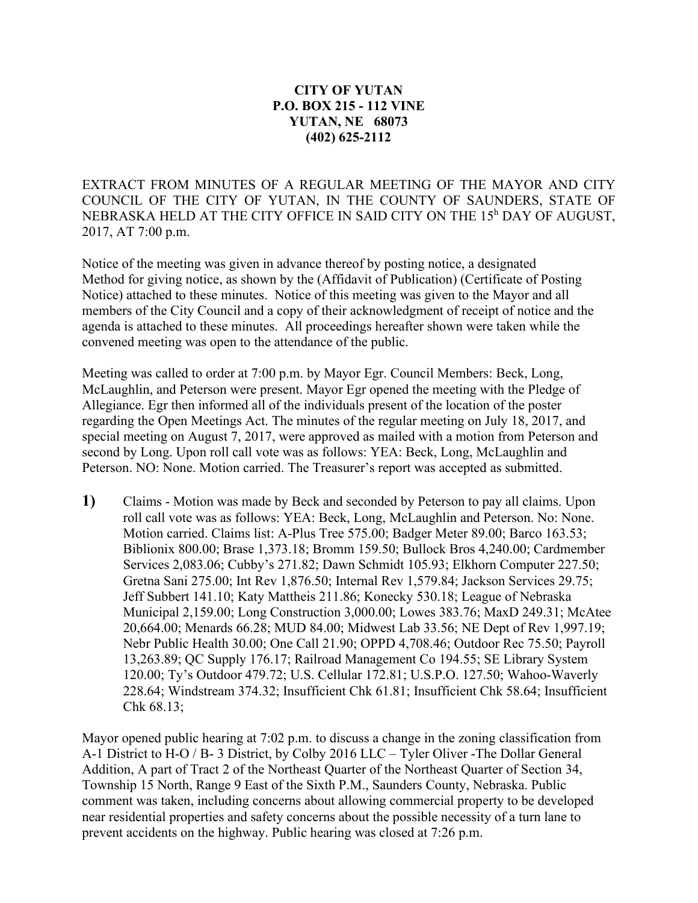## **CITY OF YUTAN P.O. BOX 215 - 112 VINE YUTAN, NE 68073 (402) 625-2112**

EXTRACT FROM MINUTES OF A REGULAR MEETING OF THE MAYOR AND CITY COUNCIL OF THE CITY OF YUTAN, IN THE COUNTY OF SAUNDERS, STATE OF NEBRASKA HELD AT THE CITY OFFICE IN SAID CITY ON THE 15<sup>h</sup> DAY OF AUGUST, 2017, AT 7:00 p.m.

Notice of the meeting was given in advance thereof by posting notice, a designated Method for giving notice, as shown by the (Affidavit of Publication) (Certificate of Posting Notice) attached to these minutes. Notice of this meeting was given to the Mayor and all members of the City Council and a copy of their acknowledgment of receipt of notice and the agenda is attached to these minutes. All proceedings hereafter shown were taken while the convened meeting was open to the attendance of the public.

Meeting was called to order at 7:00 p.m. by Mayor Egr. Council Members: Beck, Long, McLaughlin, and Peterson were present. Mayor Egr opened the meeting with the Pledge of Allegiance. Egr then informed all of the individuals present of the location of the poster regarding the Open Meetings Act. The minutes of the regular meeting on July 18, 2017, and special meeting on August 7, 2017, were approved as mailed with a motion from Peterson and second by Long. Upon roll call vote was as follows: YEA: Beck, Long, McLaughlin and Peterson. NO: None. Motion carried. The Treasurer's report was accepted as submitted.

**1)** Claims - Motion was made by Beck and seconded by Peterson to pay all claims. Upon roll call vote was as follows: YEA: Beck, Long, McLaughlin and Peterson. No: None. Motion carried. Claims list: A-Plus Tree 575.00; Badger Meter 89.00; Barco 163.53; Biblionix 800.00; Brase 1,373.18; Bromm 159.50; Bullock Bros 4,240.00; Cardmember Services 2,083.06; Cubby's 271.82; Dawn Schmidt 105.93; Elkhorn Computer 227.50; Gretna Sani 275.00; Int Rev 1,876.50; Internal Rev 1,579.84; Jackson Services 29.75; Jeff Subbert 141.10; Katy Mattheis 211.86; Konecky 530.18; League of Nebraska Municipal 2,159.00; Long Construction 3,000.00; Lowes 383.76; MaxD 249.31; McAtee 20,664.00; Menards 66.28; MUD 84.00; Midwest Lab 33.56; NE Dept of Rev 1,997.19; Nebr Public Health 30.00; One Call 21.90; OPPD 4,708.46; Outdoor Rec 75.50; Payroll 13,263.89; QC Supply 176.17; Railroad Management Co 194.55; SE Library System 120.00; Ty's Outdoor 479.72; U.S. Cellular 172.81; U.S.P.O. 127.50; Wahoo-Waverly 228.64; Windstream 374.32; Insufficient Chk 61.81; Insufficient Chk 58.64; Insufficient Chk 68.13;

Mayor opened public hearing at 7:02 p.m. to discuss a change in the zoning classification from A-1 District to H-O / B- 3 District, by Colby 2016 LLC – Tyler Oliver -The Dollar General Addition, A part of Tract 2 of the Northeast Quarter of the Northeast Quarter of Section 34, Township 15 North, Range 9 East of the Sixth P.M., Saunders County, Nebraska. Public comment was taken, including concerns about allowing commercial property to be developed near residential properties and safety concerns about the possible necessity of a turn lane to prevent accidents on the highway. Public hearing was closed at 7:26 p.m.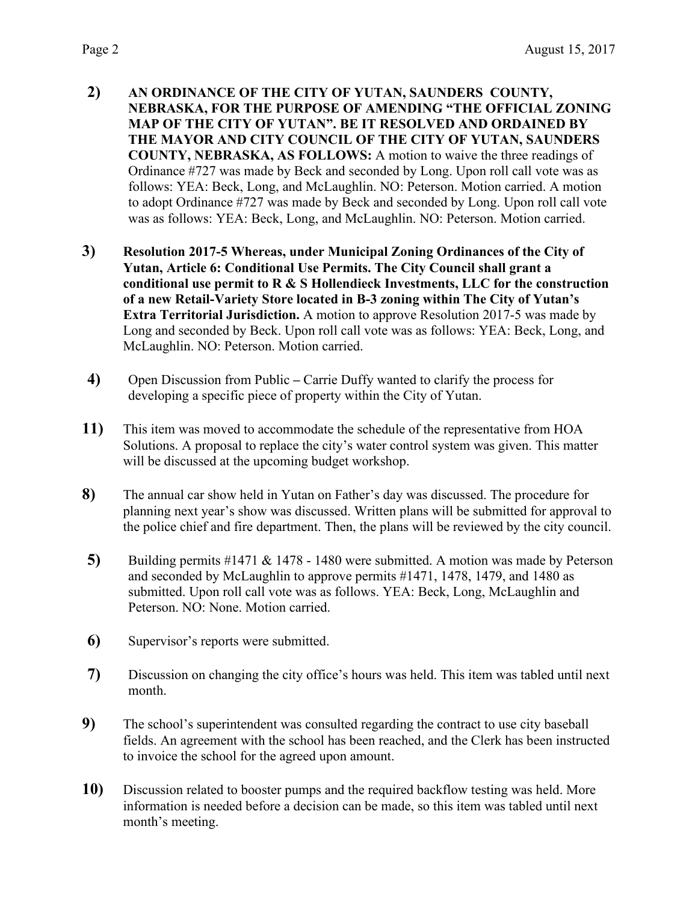- **2) AN ORDINANCE OF THE CITY OF YUTAN, SAUNDERS COUNTY, NEBRASKA, FOR THE PURPOSE OF AMENDING "THE OFFICIAL ZONING MAP OF THE CITY OF YUTAN". BE IT RESOLVED AND ORDAINED BY THE MAYOR AND CITY COUNCIL OF THE CITY OF YUTAN, SAUNDERS COUNTY, NEBRASKA, AS FOLLOWS:** A motion to waive the three readings of Ordinance #727 was made by Beck and seconded by Long. Upon roll call vote was as follows: YEA: Beck, Long, and McLaughlin. NO: Peterson. Motion carried. A motion to adopt Ordinance #727 was made by Beck and seconded by Long. Upon roll call vote was as follows: YEA: Beck, Long, and McLaughlin. NO: Peterson. Motion carried.
- **3) Resolution 2017-5 Whereas, under Municipal Zoning Ordinances of the City of Yutan, Article 6: Conditional Use Permits. The City Council shall grant a conditional use permit to R & S Hollendieck Investments, LLC for the construction of a new Retail-Variety Store located in B-3 zoning within The City of Yutan's Extra Territorial Jurisdiction.** A motion to approve Resolution 2017-5 was made by Long and seconded by Beck. Upon roll call vote was as follows: YEA: Beck, Long, and McLaughlin. NO: Peterson. Motion carried.
- **4)** Open Discussion from Public **–** Carrie Duffy wanted to clarify the process for developing a specific piece of property within the City of Yutan.
- **11)** This item was moved to accommodate the schedule of the representative from HOA Solutions. A proposal to replace the city's water control system was given. This matter will be discussed at the upcoming budget workshop.
- **8)** The annual car show held in Yutan on Father's day was discussed. The procedure for planning next year's show was discussed. Written plans will be submitted for approval to the police chief and fire department. Then, the plans will be reviewed by the city council.
- **5)** Building permits #1471 & 1478 1480 were submitted. A motion was made by Peterson and seconded by McLaughlin to approve permits #1471, 1478, 1479, and 1480 as submitted. Upon roll call vote was as follows. YEA: Beck, Long, McLaughlin and Peterson. NO: None. Motion carried.
- **6)** Supervisor's reports were submitted.
- **7)** Discussion on changing the city office's hours was held. This item was tabled until next month.
- **9)** The school's superintendent was consulted regarding the contract to use city baseball fields. An agreement with the school has been reached, and the Clerk has been instructed to invoice the school for the agreed upon amount.
- **10)** Discussion related to booster pumps and the required backflow testing was held. More information is needed before a decision can be made, so this item was tabled until next month's meeting.